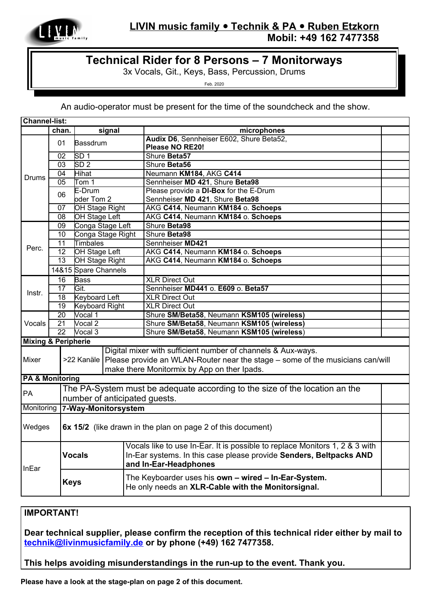

## **L IVIN music family Technik & PA Ruben Etzkorn Mobil: +49 162 7477358**

## **Technical Rider for 8 Persons – 7 Monitorways**

3x Vocals, Git., Keys, Bass, Percussion, Drums

Feb. 2020

An audio-operator must be present for the time of the soundcheck and the show.

| <b>Channel-list:</b>                                                  |                                                                   |                                                                             |                                                                                                                                                                            |
|-----------------------------------------------------------------------|-------------------------------------------------------------------|-----------------------------------------------------------------------------|----------------------------------------------------------------------------------------------------------------------------------------------------------------------------|
|                                                                       | chan.                                                             | signal                                                                      | microphones                                                                                                                                                                |
| Drums                                                                 | 01                                                                | Bassdrum                                                                    | Audix D6, Sennheiser E602, Shure Beta52,<br>Please NO RE20!                                                                                                                |
|                                                                       | 02                                                                | SD <sub>1</sub>                                                             | Shure Beta57                                                                                                                                                               |
|                                                                       | 03                                                                | SD <sub>2</sub>                                                             | Shure Beta56                                                                                                                                                               |
|                                                                       | 04                                                                | Hihat                                                                       | Neumann KM184, AKG C414                                                                                                                                                    |
|                                                                       | 05                                                                | Tom 1                                                                       | Sennheiser MD 421, Shure Beta98                                                                                                                                            |
|                                                                       | E-Drum<br>06                                                      |                                                                             | Please provide a DI-Box for the E-Drum                                                                                                                                     |
|                                                                       |                                                                   | oder Tom 2                                                                  | Sennheiser MD 421, Shure Beta98                                                                                                                                            |
|                                                                       | $\overline{07}$                                                   | OH Stage Right                                                              | AKG C414, Neumann KM184 o. Schoeps                                                                                                                                         |
|                                                                       | 08                                                                | OH Stage Left                                                               | AKG C414, Neumann KM184 o. Schoeps                                                                                                                                         |
| Perc.                                                                 | 09                                                                | Conga Stage Left                                                            | Shure Beta98                                                                                                                                                               |
|                                                                       | $\overline{10}$                                                   | Conga Stage Right                                                           | Shure Beta98                                                                                                                                                               |
|                                                                       | 11                                                                | Timbales                                                                    | Sennheiser MD421                                                                                                                                                           |
|                                                                       | $\overline{12}$                                                   | <b>OH</b> Stage Left                                                        | AKG C414, Neumann KM184 o. Schoeps                                                                                                                                         |
|                                                                       | 13                                                                | OH Stage Right                                                              | AKG C414, Neumann KM184 o. Schoeps                                                                                                                                         |
|                                                                       | 14&15 Spare Channels                                              |                                                                             |                                                                                                                                                                            |
| Instr.                                                                | $\overline{16}$                                                   | <b>Bass</b>                                                                 | <b>XLR Direct Out</b>                                                                                                                                                      |
|                                                                       | 17                                                                | Git.                                                                        | Sennheiser MD441 o. E609 o. Beta57                                                                                                                                         |
|                                                                       | 18                                                                | <b>Keyboard Left</b>                                                        | <b>XLR Direct Out</b>                                                                                                                                                      |
|                                                                       | $\overline{19}$                                                   | <b>Keyboard Right</b>                                                       | <b>XLR Direct Out</b>                                                                                                                                                      |
| Vocals                                                                | 20                                                                | Vocal 1                                                                     | Shure SM/Beta58, Neumann KSM105 (wireless)                                                                                                                                 |
|                                                                       | $\overline{21}$                                                   | Vocal 2                                                                     | Shure SM/Beta58, Neumann KSM105 (wireless)                                                                                                                                 |
|                                                                       | 22                                                                | Vocal 3                                                                     | Shure SM/Beta58, Neumann KSM105 (wireless)                                                                                                                                 |
| <b>Mixing &amp; Peripherie</b>                                        |                                                                   |                                                                             |                                                                                                                                                                            |
| <b>Mixer</b>                                                          |                                                                   |                                                                             | Digital mixer with sufficient number of channels & Aux-ways.<br>>22 Kanäle   Please provide an WLAN-Router near the stage – some of the musicians can/will                 |
|                                                                       |                                                                   |                                                                             | make there Monitormix by App on ther Ipads.                                                                                                                                |
| <b>PA &amp; Monitoring</b>                                            |                                                                   |                                                                             |                                                                                                                                                                            |
| <b>PA</b>                                                             |                                                                   | The PA-System must be adequate according to the size of the location an the |                                                                                                                                                                            |
|                                                                       |                                                                   |                                                                             |                                                                                                                                                                            |
|                                                                       | number of anticipated guests.<br>Monitoring   7-Way-Monitorsystem |                                                                             |                                                                                                                                                                            |
| 6x 15/2 (like drawn in the plan on page 2 of this document)<br>Wedges |                                                                   |                                                                             |                                                                                                                                                                            |
| InEar                                                                 |                                                                   | <b>Vocals</b>                                                               | Vocals like to use In-Ear. It is possible to replace Monitors 1, 2 & 3 with<br>In-Ear systems. In this case please provide Senders, Beltpacks AND<br>and In-Ear-Headphones |
|                                                                       |                                                                   | <b>Keys</b>                                                                 | The Keyboarder uses his own - wired - In-Ear-System.<br>He only needs an XLR-Cable with the Monitorsignal.                                                                 |

## **IMPORTANT!**

**Dear technical supplier, please confirm the reception of this technical rider either by mail to  [technik@livinmusicfamily.de](mailto:technik@livinmusicfamily.de) or by phone (+49) 162 7477358.**

**This helps avoiding misunderstandings in the run-up to the event. Thank you.**

**Please have a look at the stage-plan on page 2 of this document.**